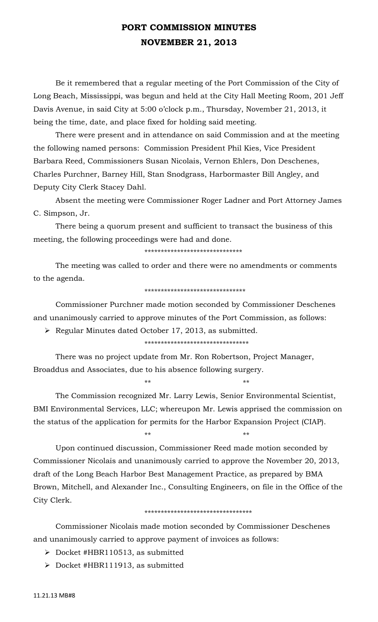# **PORT COMMISSION MINUTES NOVEMBER 21, 2013**

 Be it remembered that a regular meeting of the Port Commission of the City of Long Beach, Mississippi, was begun and held at the City Hall Meeting Room, 201 Jeff Davis Avenue, in said City at 5:00 o'clock p.m., Thursday, November 21, 2013, it being the time, date, and place fixed for holding said meeting.

 There were present and in attendance on said Commission and at the meeting the following named persons: Commission President Phil Kies, Vice President Barbara Reed, Commissioners Susan Nicolais, Vernon Ehlers, Don Deschenes, Charles Purchner, Barney Hill, Stan Snodgrass, Harbormaster Bill Angley, and Deputy City Clerk Stacey Dahl.

 Absent the meeting were Commissioner Roger Ladner and Port Attorney James C. Simpson, Jr.

 There being a quorum present and sufficient to transact the business of this meeting, the following proceedings were had and done.

\*\*\*\*\*\*\*\*\*\*\*\*\*\*\*\*\*\*\*\*\*\*\*\*\*\*\*\*\*\*

 The meeting was called to order and there were no amendments or comments to the agenda.

#### \*\*\*\*\*\*\*\*\*\*\*\*\*\*\*\*\*\*\*\*\*\*\*\*\*\*\*\*\*\*\*

 Commissioner Purchner made motion seconded by Commissioner Deschenes and unanimously carried to approve minutes of the Port Commission, as follows:

¾ Regular Minutes dated October 17, 2013, as submitted.

 $**$  \*\* \*\* \*\*

 $**$  \*\* \*\* \*\*

\*\*\*\*\*\*\*\*\*\*\*\*\*\*\*\*\*\*\*\*\*\*\*\*\*\*\*\*\*\*\*\*

 There was no project update from Mr. Ron Robertson, Project Manager, Broaddus and Associates, due to his absence following surgery.

 The Commission recognized Mr. Larry Lewis, Senior Environmental Scientist, BMI Environmental Services, LLC; whereupon Mr. Lewis apprised the commission on the status of the application for permits for the Harbor Expansion Project (CIAP).

 Upon continued discussion, Commissioner Reed made motion seconded by Commissioner Nicolais and unanimously carried to approve the November 20, 2013, draft of the Long Beach Harbor Best Management Practice, as prepared by BMA Brown, Mitchell, and Alexander Inc., Consulting Engineers, on file in the Office of the City Clerk.

#### \*\*\*\*\*\*\*\*\*\*\*\*\*\*\*\*\*\*\*\*\*\*\*\*\*\*\*\*\*\*\*\*\*

 Commissioner Nicolais made motion seconded by Commissioner Deschenes and unanimously carried to approve payment of invoices as follows:

- ¾ Docket #HBR110513, as submitted
- ¾ Docket #HBR111913, as submitted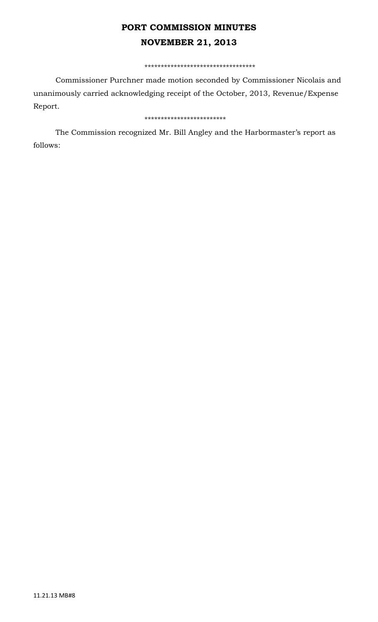# **PORT COMMISSION MINUTES NOVEMBER 21, 2013**

#### \*\*\*\*\*\*\*\*\*\*\*\*\*\*\*\*\*\*\*\*\*\*\*\*\*\*\*\*\*\*\*\*\*\*

 Commissioner Purchner made motion seconded by Commissioner Nicolais and unanimously carried acknowledging receipt of the October, 2013, Revenue/Expense Report.

### \*\*\*\*\*\*\*\*\*\*\*\*\*\*\*\*\*\*\*\*\*\*\*\*\*

 The Commission recognized Mr. Bill Angley and the Harbormaster's report as follows: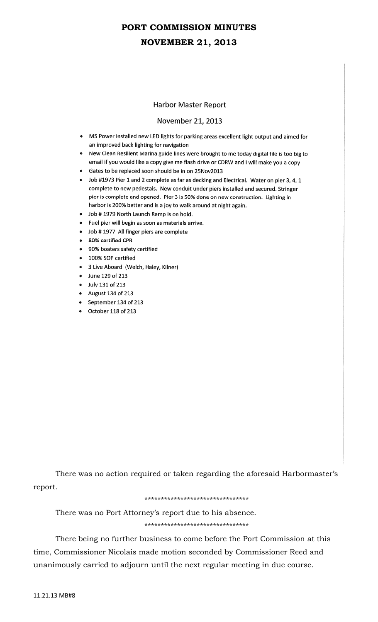# **PORT COMMISSION MINUTES NOVEMBER 21, 2013**

### **Harbor Master Report**

### November 21, 2013

- MS Power installed new LED lights for parking areas excellent light output and aimed for an improved back lighting for navigation
- New Clean Resilient Marina guide lines were brought to me today digital file is too big to email if you would like a copy give me flash drive or CDRW and I will make you a copy
- Gates to be replaced soon should be in on 25Nov2013
- Job #1973 Pier 1 and 2 complete as far as decking and Electrical. Water on pier 3, 4, 1 complete to new pedestals. New conduit under piers installed and secured. Stringer pier is complete and opened. Pier 3 is 50% done on new construction. Lighting in harbor is 200% better and is a joy to walk around at night again.
- Job #1979 North Launch Ramp is on hold.
- Fuel pier will begin as soon as materials arrive.
- Job #1977 All finger piers are complete
- 80% certified CPR
- 90% boaters safety certified
- 100% SOP certified
- 3 Live Aboard (Welch, Haley, Kilner)
- June 129 of 213
- July 131 of 213
- $\bullet$  August 134 of 213
- September 134 of 213
- October 118 of 213

 There was no action required or taken regarding the aforesaid Harbormaster's report.

#### \*\*\*\*\*\*\*\*\*\*\*\*\*\*\*\*\*\*\*\*\*\*\*\*\*\*\*\*\*\*\*\*

 There was no Port Attorney's report due to his absence. \*\*\*\*\*\*\*\*\*\*\*\*\*\*\*\*\*\*\*\*\*\*\*\*\*\*\*\*\*\*\*\*

 There being no further business to come before the Port Commission at this time, Commissioner Nicolais made motion seconded by Commissioner Reed and unanimously carried to adjourn until the next regular meeting in due course.